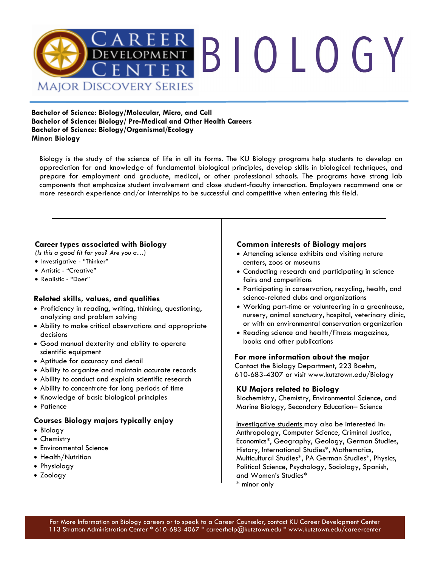

**Bachelor of Science: Biology/Molecular, Micro, and Cell Bachelor of Science: Biology/ Pre-Medical and Other Health Careers Bachelor of Science: Biology/Organismal/Ecology Minor: Biology** 

Biology is the study of the science of life in all its forms. The KU Biology programs help students to develop an appreciation for and knowledge of fundamental biological principles, develop skills in biological techniques, and prepare for employment and graduate, medical, or other professional schools. The programs have strong lab components that emphasize student involvement and close student-faculty interaction. Employers recommend one or more research experience and/or internships to be successful and competitive when entering this field.

## **Career types associated with Biology**

*(Is this a good fit for you? Are you a…)*

- Investigative "Thinker"
- Artistic "Creative"
- Realistic "Doer"

## **Related skills, values, and qualities**

- Proficiency in reading, writing, thinking, questioning, analyzing and problem solving
- Ability to make critical observations and appropriate decisions
- Good manual dexterity and ability to operate scientific equipment
- Aptitude for accuracy and detail
- Ability to organize and maintain accurate records
- Ability to conduct and explain scientific research
- Ability to concentrate for long periods of time
- Knowledge of basic biological principles
- Patience

## **Courses Biology majors typically enjoy**

- Biology
- Chemistry
- Environmental Science
- Health/Nutrition
- Physiology
- Zoology

## **Common interests of Biology majors**

- Attending science exhibits and visiting nature centers, zoos or museums
- Conducting research and participating in science fairs and competitions
- Participating in conservation, recycling, health, and science-related clubs and organizations
- Working part-time or volunteering in a greenhouse, nursery, animal sanctuary, hospital, veterinary clinic, or with an environmental conservation organization
- Reading science and health/fitness magazines, books and other publications

## **For more information about the major**

Contact the Biology Department, 223 Boehm, 610-683-4307 or visit www.kutztown.edu/Biology

## **KU Majors related to Biology**

Biochemistry, Chemistry, Environmental Science, and Marine Biology, Secondary Education– Science

Investigative students may also be interested in: Anthropology, Computer Science, Criminal Justice, Economics\*, Geography, Geology, German Studies, History, International Studies\*, Mathematics, Multicultural Studies\*, PA German Studies\*, Physics, Political Science, Psychology, Sociology, Spanish, and Women's Studies\* \* minor only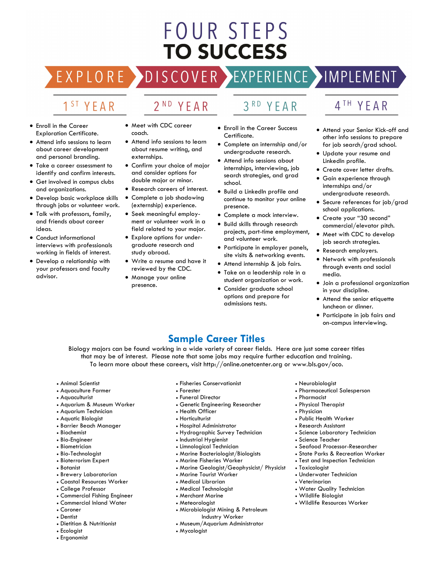# FOUR STEPS **TO SUCCESS**

# DISCOVER EXPERIENCE MPLEMENT

2<sup>ND</sup> YEAR

# 1<sup>ST</sup> YEAR

EXPLORE >

- Enroll in the Career Exploration Certificate.
- Attend info sessions to learn about career development and personal branding.
- Take a career assessment to identify and confirm interests.
- Get involved in campus clubs and organizations.
- Develop basic workplace skills through jobs or volunteer work.
- Talk with professors, family, and friends about career ideas.
- Conduct informational interviews with professionals working in fields of interest.
- Develop a relationship with your professors and faculty advisor.
- Meet with CDC career coach.
- Attend info sessions to learn about resume writing, and externships.
- Confirm your choice of major and consider options for double major or minor.
- Research careers of interest.
- Complete a job shadowing (externship) experience.
- Seek meaningful employment or volunteer work in a field related to your major.
- Explore options for undergraduate research and study abroad.
- Write a resume and have it reviewed by the CDC.
- Manage your online presence.
- 3RD YEAR
- Enroll in the Career Success Certificate.
- Complete an internship and/or undergraduate research.
- Attend info sessions about internships, interviewing, job search strategies, and grad school.
- Build a LinkedIn profile and continue to monitor your online presence.
- Complete a mock interview.
- Build skills through research projects, part-time employment, and volunteer work.
- Participate in employer panels, site visits & networking events.
- Attend internship & job fairs.
- Take on a leadership role in a student organization or work.
- Consider graduate school options and prepare for admissions tests.

# 4TH YEAR

- Attend your Senior Kick-off and other info sessions to prepare for job search/grad school.
- Update your resume and LinkedIn profile.
- Create cover letter drafts.
- Gain experience through internships and/or undergraduate research.
- Secure references for job/grad school applications.
- Create your "30 second" commercial/elevator pitch.
- Meet with CDC to develop job search strategies.
- Research employers.
- Network with professionals through events and social media.
- Join a professional organization in your discipline.
- Attend the senior etiquette luncheon or dinner.
- Participate in job fairs and on-campus interviewing.

## **Sample Career Titles**

Biology majors can be found working in a wide variety of career fields. Here are just some career titles that may be of interest. Please note that some jobs may require further education and training. To learn more about these careers, visit http://online.onetcenter.org or www.bls.gov/oco.

- Animal Scientist
- Aquaculture Farmer
- Aquaculturist
- Aquarium & Museum Worker
- Aquarium Technician
- Aquatic Biologist
- Barrier Beach Manager
- Biochemist
- Bio-Engineer
- Biometrician
- Bio-Technologist
- Bioterrorism Expert
- Botanist
- Brewery Laboratorian
- Coastal Resources Worker
- College Professor
- Commercial Fishing Engineer
- Commercial Inland Water
- Coroner
- Dentist
- Dietitian & Nutritionist
- Ecologist
- Ergonomist
- Fisheries Conservationist
- Forester
- Funeral Director
- Genetic Engineering Researcher
- Health Officer
- Horticulturist
- Hospital Administrator
- Hydrographic Survey Technician
- Industrial Hygienist
- Limnological Technician
- Marine Bacteriologist/Biologists
- Marine Fisheries Worker
- Marine Geologist/Geophysicist/ Physicist
- Marine Tourist Worker
- Medical Librarian
- Medical Technologist
- Merchant Marine
- Meteorologist
- Microbiologist Mining & Petroleum Industry Worker
- Museum/Aquarium Administrator
- Mycologist
- Neurobiologist
- Pharmaceutical Salesperson
- Pharmacist
- Physical Therapist
- Physician

• Toxicologist

• Veterinarian

- Public Health Worker
- Research Assistant
- Science Laboratory Technician
- Science Teacher

• Underwater Technician

• Water Quality Technician • Wildlife Biologist

• Wildlife Resources Worker

• Seafood Processor-Researcher

• State Parks & Recreation Worker • Test and Inspection Technician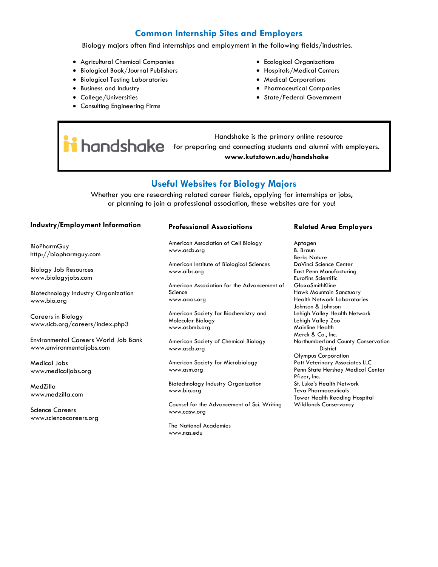## **Common Internship Sites and Employers**

Biology majors often find internships and employment in the following fields/industries.

- Agricultural Chemical Companies
- Biological Book/Journal Publishers
- Biological Testing Laboratories
- Business and Industry
- College/Universities
- Consulting Engineering Firms
- Ecological Organizations
- Hospitals/Medical Centers
- Medical Corporations
- Pharmaceutical Companies
- State/Federal Government

 Handshake is the primary online resource **holdshake** for preparing and connecting students and alumni with employers. **www.kutztown.edu/handshake**

## **Useful Websites for Biology Majors**

Whether you are researching related career fields, applying for internships or jobs, or planning to join a professional association, these websites are for you!

## **Industry/Employment Information**

**BioPharmGuy** http://biopharmguy.com

Biology Job Resources www.biologyjobs.com

Biotechnology Industry Organization www.bio.org

Careers in Biology www.sicb.org/careers/index.php3

Environmental Careers World Job Bank www.environmentaljobs.com

Medical Jobs www.medicaljobs.org

MedZilla www.medzilla.com

Science Careers www.sciencecareers.org

#### **Professional Associations**

American Association of Cell Biology www.ascb.org

American Institute of Biological Sciences www.aibs.org

American Association for the Advancement of Science www.aaas.org

American Society for Biochemistry and Molecular Biology www.asbmb.org

American Society of Chemical Biology www.ascb.org

American Society for Microbiology www.asm.org

Biotechnology Industry Organization www.bio.org

Counsel for the Advancement of Sci. Writing www.casw.org

The National Academies www.nas.edu

### **Related Area Employers**

Aptagen B. Braun Berks Nature DaVinci Science Center East Penn Manufacturing Eurofins Scientific GlaxoSmithKline Hawk Mountain Sanctuary Health Network Laboratories Johnson & Johnson Lehigh Valley Health Network Lehigh Valley Zoo Mainline Health Merck & Co., Inc. Northumberland County Conservation **District** Olympus Corporation Patt Veterinary Associates LLC Penn State Hershey Medical Center Pfizer, Inc. St. Luke's Health Network Teva Pharmaceuticals Tower Health Reading Hospital Wildlands Conservancy